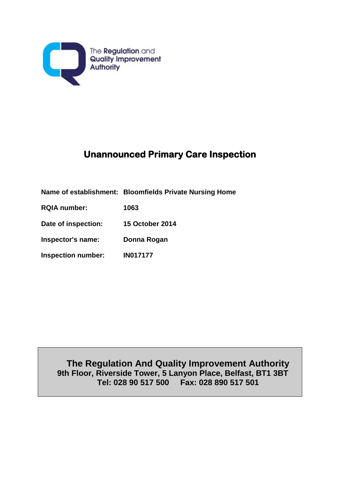

# **Unannounced Primary Care Inspection**

|                           | Name of establishment: Bloomfields Private Nursing Home |
|---------------------------|---------------------------------------------------------|
| <b>RQIA number:</b>       | 1063                                                    |
| Date of inspection:       | <b>15 October 2014</b>                                  |
| Inspector's name:         | Donna Rogan                                             |
| <b>Inspection number:</b> | <b>IN017177</b>                                         |

**The Regulation And Quality Improvement Authority 9th Floor, Riverside Tower, 5 Lanyon Place, Belfast, BT1 3BT Tel: 028 90 517 500 Fax: 028 890 517 501**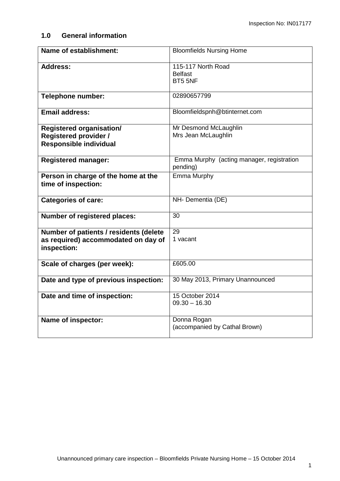### **1.0 General information**

| <b>Name of establishment:</b>                                                                    | <b>Bloomfields Nursing Home</b>                       |
|--------------------------------------------------------------------------------------------------|-------------------------------------------------------|
| <b>Address:</b>                                                                                  | 115-117 North Road<br><b>Belfast</b><br>BT5 5NF       |
| <b>Telephone number:</b>                                                                         | 02890657799                                           |
| Email address:                                                                                   | Bloomfieldspnh@btinternet.com                         |
| <b>Registered organisation/</b><br><b>Registered provider /</b><br><b>Responsible individual</b> | Mr Desmond McLaughlin<br>Mrs Jean McLaughlin          |
| <b>Registered manager:</b>                                                                       | Emma Murphy (acting manager, registration<br>pending) |
| Person in charge of the home at the<br>time of inspection:                                       | <b>Emma Murphy</b>                                    |
| <b>Categories of care:</b>                                                                       | NH- Dementia (DE)                                     |
| <b>Number of registered places:</b>                                                              | 30                                                    |
| Number of patients / residents (delete<br>as required) accommodated on day of<br>inspection:     | 29<br>1 vacant                                        |
| Scale of charges (per week):                                                                     | £605.00                                               |
| Date and type of previous inspection:                                                            | 30 May 2013, Primary Unannounced                      |
| Date and time of inspection:                                                                     | 15 October 2014<br>$09.30 - 16.30$                    |
| Name of inspector:                                                                               | Donna Rogan<br>(accompanied by Cathal Brown)          |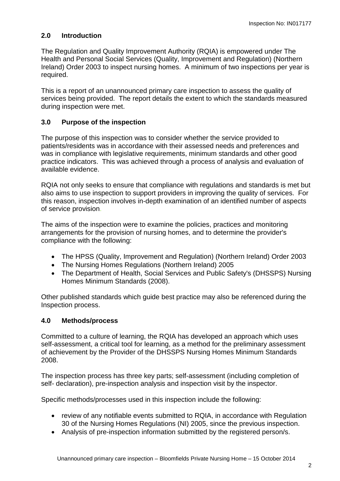## **2.0 Introduction**

The Regulation and Quality Improvement Authority (RQIA) is empowered under The Health and Personal Social Services (Quality, Improvement and Regulation) (Northern Ireland) Order 2003 to inspect nursing homes. A minimum of two inspections per year is required.

This is a report of an unannounced primary care inspection to assess the quality of services being provided. The report details the extent to which the standards measured during inspection were met.

### **3.0 Purpose of the inspection**

The purpose of this inspection was to consider whether the service provided to patients/residents was in accordance with their assessed needs and preferences and was in compliance with legislative requirements, minimum standards and other good practice indicators. This was achieved through a process of analysis and evaluation of available evidence.

RQIA not only seeks to ensure that compliance with regulations and standards is met but also aims to use inspection to support providers in improving the quality of services. For this reason, inspection involves in-depth examination of an identified number of aspects of service provision.

The aims of the inspection were to examine the policies, practices and monitoring arrangements for the provision of nursing homes, and to determine the provider's compliance with the following:

- The HPSS (Quality, Improvement and Regulation) (Northern Ireland) Order 2003
- The Nursing Homes Regulations (Northern Ireland) 2005
- The Department of Health, Social Services and Public Safety's (DHSSPS) Nursing Homes Minimum Standards (2008).

Other published standards which guide best practice may also be referenced during the Inspection process.

#### **4.0 Methods/process**

Committed to a culture of learning, the RQIA has developed an approach which uses self-assessment, a critical tool for learning, as a method for the preliminary assessment of achievement by the Provider of the DHSSPS Nursing Homes Minimum Standards 2008.

The inspection process has three key parts; self-assessment (including completion of self- declaration), pre-inspection analysis and inspection visit by the inspector.

Specific methods/processes used in this inspection include the following:

- review of any notifiable events submitted to RQIA, in accordance with Regulation 30 of the Nursing Homes Regulations (NI) 2005, since the previous inspection.
- Analysis of pre-inspection information submitted by the registered person/s.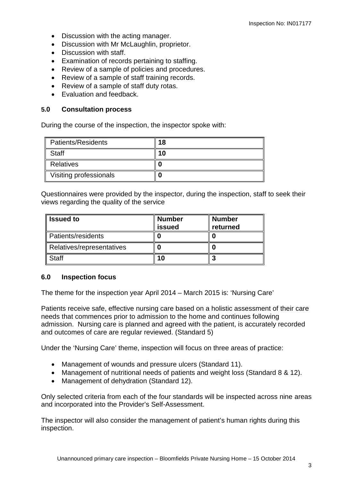- Discussion with the acting manager.
- Discussion with Mr McLaughlin, proprietor.
- Discussion with staff.
- Examination of records pertaining to staffing.
- Review of a sample of policies and procedures.
- Review of a sample of staff training records.
- Review of a sample of staff duty rotas.
- Evaluation and feedback.

#### **5.0 Consultation process**

During the course of the inspection, the inspector spoke with:

| <b>Patients/Residents</b> | 8 ، |
|---------------------------|-----|
| <b>Staff</b>              | 10  |
| Relatives                 |     |
| Visiting professionals    |     |

Questionnaires were provided by the inspector, during the inspection, staff to seek their views regarding the quality of the service

| <b>Issued to</b>          | <b>Number</b><br><b>issued</b> | <b>Number</b><br>returned |
|---------------------------|--------------------------------|---------------------------|
| Patients/residents        |                                |                           |
| Relatives/representatives |                                |                           |
| Staff                     |                                |                           |

#### **6.0 Inspection focus**

The theme for the inspection year April 2014 – March 2015 is: 'Nursing Care'

Patients receive safe, effective nursing care based on a holistic assessment of their care needs that commences prior to admission to the home and continues following admission. Nursing care is planned and agreed with the patient, is accurately recorded and outcomes of care are regular reviewed. (Standard 5)

Under the 'Nursing Care' theme, inspection will focus on three areas of practice:

- Management of wounds and pressure ulcers (Standard 11).
- Management of nutritional needs of patients and weight loss (Standard 8 & 12).
- Management of dehydration (Standard 12).

Only selected criteria from each of the four standards will be inspected across nine areas and incorporated into the Provider's Self-Assessment.

The inspector will also consider the management of patient's human rights during this inspection.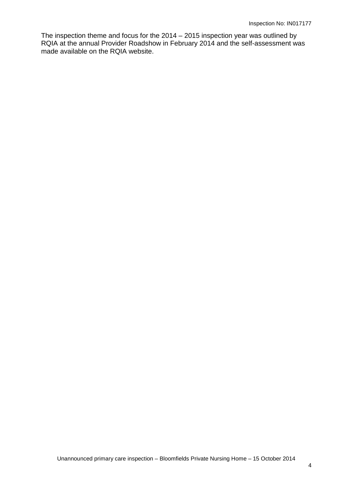The inspection theme and focus for the 2014 – 2015 inspection year was outlined by RQIA at the annual Provider Roadshow in February 2014 and the self-assessment was made available on the RQIA website.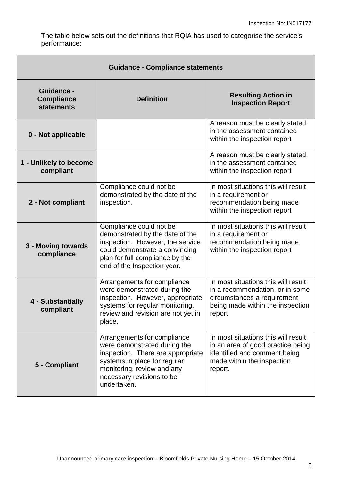The table below sets out the definitions that RQIA has used to categorise the service's performance:

| <b>Guidance - Compliance statements</b>                     |                                                                                                                                                                                                            |                                                                                                                                                      |  |
|-------------------------------------------------------------|------------------------------------------------------------------------------------------------------------------------------------------------------------------------------------------------------------|------------------------------------------------------------------------------------------------------------------------------------------------------|--|
| <b>Guidance -</b><br><b>Compliance</b><br><b>statements</b> | <b>Definition</b>                                                                                                                                                                                          | <b>Resulting Action in</b><br><b>Inspection Report</b>                                                                                               |  |
| 0 - Not applicable                                          |                                                                                                                                                                                                            | A reason must be clearly stated<br>in the assessment contained<br>within the inspection report                                                       |  |
| 1 - Unlikely to become<br>compliant                         |                                                                                                                                                                                                            | A reason must be clearly stated<br>in the assessment contained<br>within the inspection report                                                       |  |
| 2 - Not compliant                                           | Compliance could not be<br>demonstrated by the date of the<br>inspection.                                                                                                                                  | In most situations this will result<br>in a requirement or<br>recommendation being made<br>within the inspection report                              |  |
| 3 - Moving towards<br>compliance                            | Compliance could not be<br>demonstrated by the date of the<br>inspection. However, the service<br>could demonstrate a convincing<br>plan for full compliance by the<br>end of the Inspection year.         | In most situations this will result<br>in a requirement or<br>recommendation being made<br>within the inspection report                              |  |
| 4 - Substantially<br>compliant                              | Arrangements for compliance<br>were demonstrated during the<br>inspection. However, appropriate<br>systems for regular monitoring,<br>review and revision are not yet in<br>place.                         | In most situations this will result<br>in a recommendation, or in some<br>circumstances a requirement,<br>being made within the inspection<br>report |  |
| 5 - Compliant                                               | Arrangements for compliance<br>were demonstrated during the<br>inspection. There are appropriate<br>systems in place for regular<br>monitoring, review and any<br>necessary revisions to be<br>undertaken. | In most situations this will result<br>in an area of good practice being<br>identified and comment being<br>made within the inspection<br>report.    |  |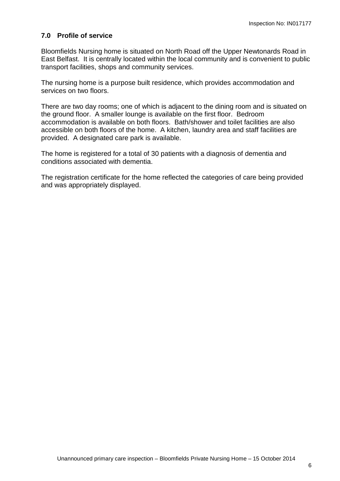#### **7.0 Profile of service**

Bloomfields Nursing home is situated on North Road off the Upper Newtonards Road in East Belfast. It is centrally located within the local community and is convenient to public transport facilities, shops and community services.

The nursing home is a purpose built residence, which provides accommodation and services on two floors.

There are two day rooms; one of which is adjacent to the dining room and is situated on the ground floor. A smaller lounge is available on the first floor. Bedroom accommodation is available on both floors. Bath/shower and toilet facilities are also accessible on both floors of the home. A kitchen, laundry area and staff facilities are provided. A designated care park is available.

The home is registered for a total of 30 patients with a diagnosis of dementia and conditions associated with dementia.

The registration certificate for the home reflected the categories of care being provided and was appropriately displayed.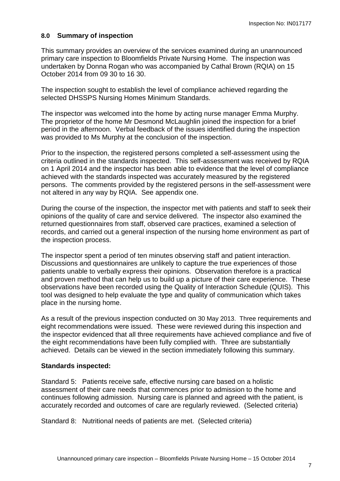#### **8.0 Summary of inspection**

This summary provides an overview of the services examined during an unannounced primary care inspection to Bloomfields Private Nursing Home. The inspection was undertaken by Donna Rogan who was accompanied by Cathal Brown (RQIA) on 15 October 2014 from 09 30 to 16 30.

The inspection sought to establish the level of compliance achieved regarding the selected DHSSPS Nursing Homes Minimum Standards.

The inspector was welcomed into the home by acting nurse manager Emma Murphy. The proprietor of the home Mr Desmond McLaughlin joined the inspection for a brief period in the afternoon. Verbal feedback of the issues identified during the inspection was provided to Ms Murphy at the conclusion of the inspection.

Prior to the inspection, the registered persons completed a self-assessment using the criteria outlined in the standards inspected. This self-assessment was received by RQIA on 1 April 2014 and the inspector has been able to evidence that the level of compliance achieved with the standards inspected was accurately measured by the registered persons. The comments provided by the registered persons in the self-assessment were not altered in any way by RQIA. See appendix one.

During the course of the inspection, the inspector met with patients and staff to seek their opinions of the quality of care and service delivered. The inspector also examined the returned questionnaires from staff, observed care practices, examined a selection of records, and carried out a general inspection of the nursing home environment as part of the inspection process.

The inspector spent a period of ten minutes observing staff and patient interaction. Discussions and questionnaires are unlikely to capture the true experiences of those patients unable to verbally express their opinions. Observation therefore is a practical and proven method that can help us to build up a picture of their care experience. These observations have been recorded using the Quality of Interaction Schedule (QUIS). This tool was designed to help evaluate the type and quality of communication which takes place in the nursing home.

As a result of the previous inspection conducted on 30 May 2013. Three requirements and eight recommendations were issued. These were reviewed during this inspection and the inspector evidenced that all three requirements have achieved compliance and five of the eight recommendations have been fully complied with. Three are substantially achieved. Details can be viewed in the section immediately following this summary.

#### **Standards inspected:**

Standard 5: Patients receive safe, effective nursing care based on a holistic assessment of their care needs that commences prior to admission to the home and continues following admission. Nursing care is planned and agreed with the patient, is accurately recorded and outcomes of care are regularly reviewed. (Selected criteria)

Standard 8: Nutritional needs of patients are met. (Selected criteria)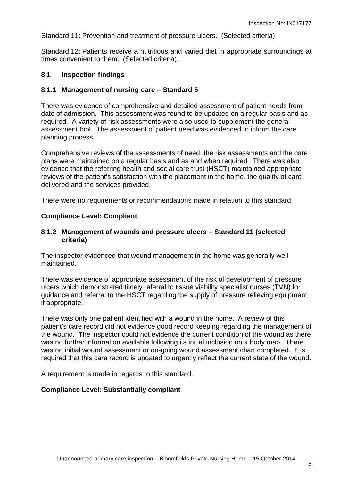Standard 11: Prevention and treatment of pressure ulcers. (Selected criteria)

Standard 12: Patients receive a nutritious and varied diet in appropriate surroundings at times convenient to them. (Selected criteria).

#### **8.1 Inspection findings**

#### **8.1.1 Management of nursing care – Standard 5**

There was evidence of comprehensive and detailed assessment of patient needs from date of admission. This assessment was found to be updated on a regular basis and as required. A variety of risk assessments were also used to supplement the general assessment tool. The assessment of patient need was evidenced to inform the care planning process.

Comprehensive reviews of the assessments of need, the risk assessments and the care plans were maintained on a regular basis and as and when required. There was also evidence that the referring health and social care trust (HSCT) maintained appropriate reviews of the patient's satisfaction with the placement in the home, the quality of care delivered and the services provided.

There were no requirements or recommendations made in relation to this standard.

#### **Compliance Level: Compliant**

#### **8.1.2 Management of wounds and pressure ulcers – Standard 11 (selected criteria)**

The inspector evidenced that wound management in the home was generally well maintained.

There was evidence of appropriate assessment of the risk of development of pressure ulcers which demonstrated timely referral to tissue viability specialist nurses (TVN) for guidance and referral to the HSCT regarding the supply of pressure relieving equipment if appropriate.

There was only one patient identified with a wound in the home. A review of this patient's care record did not evidence good record keeping regarding the management of the wound. The inspector could not evidence the current condition of the wound as there was no further information available following its initial inclusion on a body map. There was no initial wound assessment or on-going wound assessment chart completed. It is required that this care record is updated to urgently reflect the current state of the wound.

A requirement is made in regards to this standard.

#### **Compliance Level: Substantially compliant**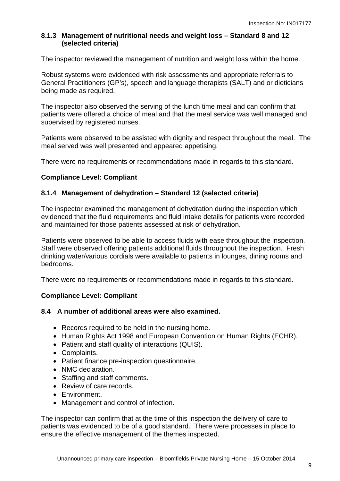## **8.1.3 Management of nutritional needs and weight loss – Standard 8 and 12 (selected criteria)**

The inspector reviewed the management of nutrition and weight loss within the home.

Robust systems were evidenced with risk assessments and appropriate referrals to General Practitioners (GP's), speech and language therapists (SALT) and or dieticians being made as required.

The inspector also observed the serving of the lunch time meal and can confirm that patients were offered a choice of meal and that the meal service was well managed and supervised by registered nurses.

Patients were observed to be assisted with dignity and respect throughout the meal. The meal served was well presented and appeared appetising.

There were no requirements or recommendations made in regards to this standard.

## **Compliance Level: Compliant**

## **8.1.4 Management of dehydration – Standard 12 (selected criteria)**

The inspector examined the management of dehydration during the inspection which evidenced that the fluid requirements and fluid intake details for patients were recorded and maintained for those patients assessed at risk of dehydration.

Patients were observed to be able to access fluids with ease throughout the inspection. Staff were observed offering patients additional fluids throughout the inspection. Fresh drinking water/various cordials were available to patients in lounges, dining rooms and bedrooms.

There were no requirements or recommendations made in regards to this standard.

## **Compliance Level: Compliant**

#### **8.4 A number of additional areas were also examined.**

- Records required to be held in the nursing home.
- Human Rights Act 1998 and European Convention on Human Rights (ECHR).
- Patient and staff quality of interactions (QUIS).
- Complaints.
- Patient finance pre-inspection questionnaire.
- NMC declaration.
- Staffing and staff comments.
- Review of care records.
- Environment.
- Management and control of infection.

The inspector can confirm that at the time of this inspection the delivery of care to patients was evidenced to be of a good standard. There were processes in place to ensure the effective management of the themes inspected.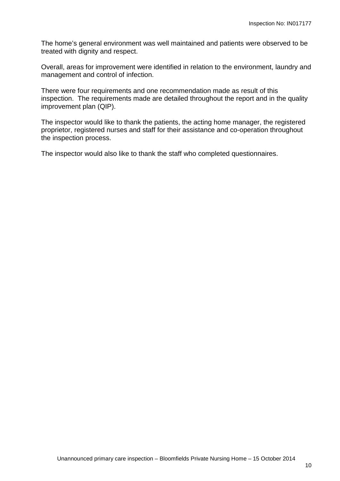The home's general environment was well maintained and patients were observed to be treated with dignity and respect.

Overall, areas for improvement were identified in relation to the environment, laundry and management and control of infection.

There were four requirements and one recommendation made as result of this inspection. The requirements made are detailed throughout the report and in the quality improvement plan (QIP).

The inspector would like to thank the patients, the acting home manager, the registered proprietor, registered nurses and staff for their assistance and co-operation throughout the inspection process.

The inspector would also like to thank the staff who completed questionnaires.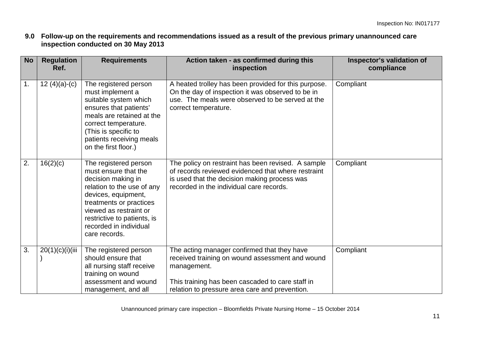**9.0 Follow-up on the requirements and recommendations issued as a result of the previous primary unannounced care inspection conducted on 30 May 2013** 

| <b>No</b>     | <b>Regulation</b><br>Ref. | <b>Requirements</b>                                                                                                                                                                                                                                     | Action taken - as confirmed during this<br>inspection                                                                                                                                                               | Inspector's validation of<br>compliance |
|---------------|---------------------------|---------------------------------------------------------------------------------------------------------------------------------------------------------------------------------------------------------------------------------------------------------|---------------------------------------------------------------------------------------------------------------------------------------------------------------------------------------------------------------------|-----------------------------------------|
| $\mathbf 1$ . | 12 $(4)(a)-(c)$           | The registered person<br>must implement a<br>suitable system which<br>ensures that patients'<br>meals are retained at the<br>correct temperature.<br>(This is specific to<br>patients receiving meals<br>on the first floor.)                           | A heated trolley has been provided for this purpose.<br>On the day of inspection it was observed to be in<br>use. The meals were observed to be served at the<br>correct temperature.                               | Compliant                               |
| 2.            | 16(2)(c)                  | The registered person<br>must ensure that the<br>decision making in<br>relation to the use of any<br>devices, equipment,<br>treatments or practices<br>viewed as restraint or<br>restrictive to patients, is<br>recorded in individual<br>care records. | The policy on restraint has been revised. A sample<br>of records reviewed evidenced that where restraint<br>is used that the decision making process was<br>recorded in the individual care records.                | Compliant                               |
| 3.            | 20(1)(c)(i)(iii)          | The registered person<br>should ensure that<br>all nursing staff receive<br>training on wound<br>assessment and wound<br>management, and all                                                                                                            | The acting manager confirmed that they have<br>received training on wound assessment and wound<br>management.<br>This training has been cascaded to care staff in<br>relation to pressure area care and prevention. | Compliant                               |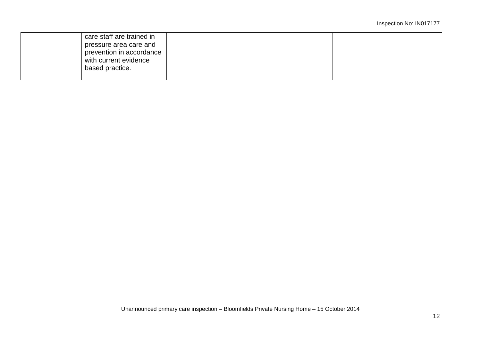| care staff are trained in |  |
|---------------------------|--|
| pressure area care and    |  |
| prevention in accordance  |  |
| with current evidence     |  |
| based practice.           |  |
|                           |  |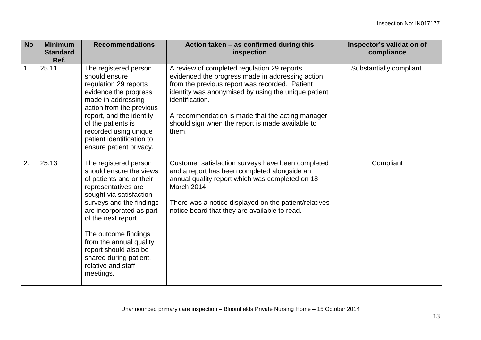| <b>No</b> | <b>Minimum</b><br><b>Standard</b><br>Ref. | <b>Recommendations</b>                                                                                                                                                                                                                                                                                                                                 | Action taken - as confirmed during this<br>inspection                                                                                                                                                                                                                                                                                         | Inspector's validation of<br>compliance |
|-----------|-------------------------------------------|--------------------------------------------------------------------------------------------------------------------------------------------------------------------------------------------------------------------------------------------------------------------------------------------------------------------------------------------------------|-----------------------------------------------------------------------------------------------------------------------------------------------------------------------------------------------------------------------------------------------------------------------------------------------------------------------------------------------|-----------------------------------------|
| 1.        | 25.11                                     | The registered person<br>should ensure<br>regulation 29 reports<br>evidence the progress<br>made in addressing<br>action from the previous<br>report, and the identity<br>of the patients is<br>recorded using unique<br>patient identification to<br>ensure patient privacy.                                                                          | A review of completed regulation 29 reports,<br>evidenced the progress made in addressing action<br>from the previous report was recorded. Patient<br>identity was anonymised by using the unique patient<br>identification.<br>A recommendation is made that the acting manager<br>should sign when the report is made available to<br>them. | Substantially compliant.                |
| 2.        | 25.13                                     | The registered person<br>should ensure the views<br>of patients and or their<br>representatives are<br>sought via satisfaction<br>surveys and the findings<br>are incorporated as part<br>of the next report.<br>The outcome findings<br>from the annual quality<br>report should also be<br>shared during patient,<br>relative and staff<br>meetings. | Customer satisfaction surveys have been completed<br>and a report has been completed alongside an<br>annual quality report which was completed on 18<br>March 2014.<br>There was a notice displayed on the patient/relatives<br>notice board that they are available to read.                                                                 | Compliant                               |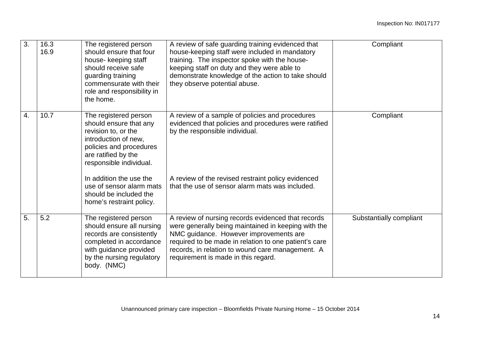| 3. | 16.3<br>16.9 | The registered person<br>should ensure that four<br>house- keeping staff<br>should receive safe<br>guarding training<br>commensurate with their<br>role and responsibility in<br>the home. | A review of safe guarding training evidenced that<br>house-keeping staff were included in mandatory<br>training. The inspector spoke with the house-<br>keeping staff on duty and they were able to<br>demonstrate knowledge of the action to take should<br>they observe potential abuse.              | Compliant               |
|----|--------------|--------------------------------------------------------------------------------------------------------------------------------------------------------------------------------------------|---------------------------------------------------------------------------------------------------------------------------------------------------------------------------------------------------------------------------------------------------------------------------------------------------------|-------------------------|
| 4. | 10.7         | The registered person<br>should ensure that any<br>revision to, or the<br>introduction of new,<br>policies and procedures<br>are ratified by the<br>responsible individual.                | A review of a sample of policies and procedures<br>evidenced that policies and procedures were ratified<br>by the responsible individual.                                                                                                                                                               | Compliant               |
|    |              | In addition the use the<br>use of sensor alarm mats<br>should be included the<br>home's restraint policy.                                                                                  | A review of the revised restraint policy evidenced<br>that the use of sensor alarm mats was included.                                                                                                                                                                                                   |                         |
| 5. | 5.2          | The registered person<br>should ensure all nursing<br>records are consistently<br>completed in accordance<br>with guidance provided<br>by the nursing regulatory<br>body. (NMC)            | A review of nursing records evidenced that records<br>were generally being maintained in keeping with the<br>NMC guidance. However improvements are<br>required to be made in relation to one patient's care<br>records, in relation to wound care management. A<br>requirement is made in this regard. | Substantially compliant |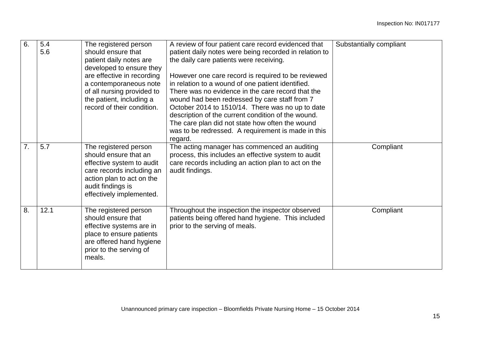| 6. | 5.4<br>5.6 | The registered person<br>should ensure that<br>patient daily notes are<br>developed to ensure they<br>are effective in recording<br>a contemporaneous note<br>of all nursing provided to<br>the patient, including a<br>record of their condition. | A review of four patient care record evidenced that<br>patient daily notes were being recorded in relation to<br>the daily care patients were receiving.<br>However one care record is required to be reviewed<br>in relation to a wound of one patient identified.<br>There was no evidence in the care record that the<br>wound had been redressed by care staff from 7<br>October 2014 to 1510/14. There was no up to date<br>description of the current condition of the wound.<br>The care plan did not state how often the wound<br>was to be redressed. A requirement is made in this<br>regard. | Substantially compliant |
|----|------------|----------------------------------------------------------------------------------------------------------------------------------------------------------------------------------------------------------------------------------------------------|---------------------------------------------------------------------------------------------------------------------------------------------------------------------------------------------------------------------------------------------------------------------------------------------------------------------------------------------------------------------------------------------------------------------------------------------------------------------------------------------------------------------------------------------------------------------------------------------------------|-------------------------|
| 7. | 5.7        | The registered person<br>should ensure that an<br>effective system to audit<br>care records including an<br>action plan to act on the<br>audit findings is<br>effectively implemented.                                                             | The acting manager has commenced an auditing<br>process, this includes an effective system to audit<br>care records including an action plan to act on the<br>audit findings.                                                                                                                                                                                                                                                                                                                                                                                                                           | Compliant               |
| 8. | 12.1       | The registered person<br>should ensure that<br>effective systems are in<br>place to ensure patients<br>are offered hand hygiene<br>prior to the serving of<br>meals.                                                                               | Throughout the inspection the inspector observed<br>patients being offered hand hygiene. This included<br>prior to the serving of meals.                                                                                                                                                                                                                                                                                                                                                                                                                                                                | Compliant               |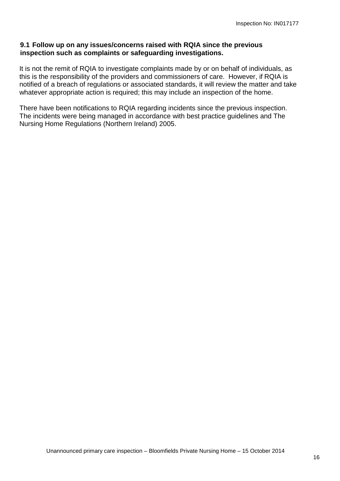#### **9.1 Follow up on any issues/concerns raised with RQIA since the previous inspection such as complaints or safeguarding investigations.**

It is not the remit of RQIA to investigate complaints made by or on behalf of individuals, as this is the responsibility of the providers and commissioners of care. However, if RQIA is notified of a breach of regulations or associated standards, it will review the matter and take whatever appropriate action is required; this may include an inspection of the home.

There have been notifications to RQIA regarding incidents since the previous inspection. The incidents were being managed in accordance with best practice guidelines and The Nursing Home Regulations (Northern Ireland) 2005.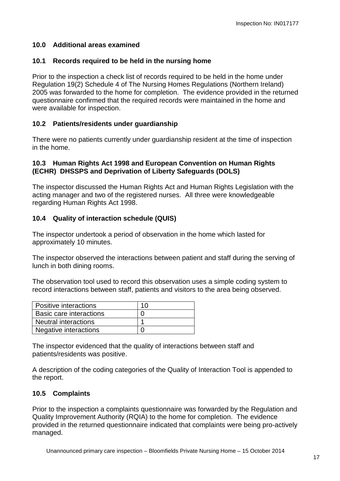## **10.0 Additional areas examined**

#### **10.1 Records required to be held in the nursing home**

Prior to the inspection a check list of records required to be held in the home under Regulation 19(2) Schedule 4 of The Nursing Homes Regulations (Northern Ireland) 2005 was forwarded to the home for completion. The evidence provided in the returned questionnaire confirmed that the required records were maintained in the home and were available for inspection.

### **10.2 Patients/residents under guardianship**

There were no patients currently under guardianship resident at the time of inspection in the home.

#### **10.3 Human Rights Act 1998 and European Convention on Human Rights (ECHR) DHSSPS and Deprivation of Liberty Safeguards (DOLS)**

The inspector discussed the Human Rights Act and Human Rights Legislation with the acting manager and two of the registered nurses. All three were knowledgeable regarding Human Rights Act 1998.

### **10.4 Quality of interaction schedule (QUIS)**

The inspector undertook a period of observation in the home which lasted for approximately 10 minutes.

The inspector observed the interactions between patient and staff during the serving of lunch in both dining rooms.

The observation tool used to record this observation uses a simple coding system to record interactions between staff, patients and visitors to the area being observed.

| Positive interactions          | 10 |
|--------------------------------|----|
| <b>Basic care interactions</b> |    |
| <b>Neutral interactions</b>    |    |
| Negative interactions          |    |

The inspector evidenced that the quality of interactions between staff and patients/residents was positive.

A description of the coding categories of the Quality of Interaction Tool is appended to the report.

## **10.5 Complaints**

Prior to the inspection a complaints questionnaire was forwarded by the Regulation and Quality Improvement Authority (RQIA) to the home for completion. The evidence provided in the returned questionnaire indicated that complaints were being pro-actively managed.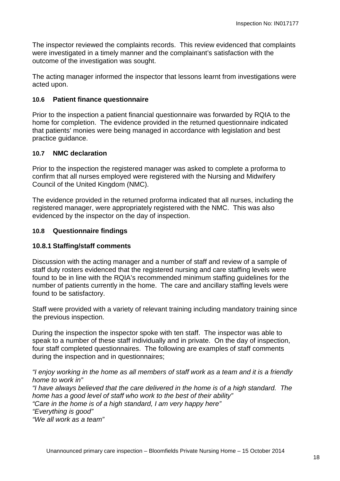The inspector reviewed the complaints records. This review evidenced that complaints were investigated in a timely manner and the complainant's satisfaction with the outcome of the investigation was sought.

The acting manager informed the inspector that lessons learnt from investigations were acted upon.

#### **10.6 Patient finance questionnaire**

Prior to the inspection a patient financial questionnaire was forwarded by RQIA to the home for completion. The evidence provided in the returned questionnaire indicated that patients' monies were being managed in accordance with legislation and best practice guidance.

#### **10.7 NMC declaration**

Prior to the inspection the registered manager was asked to complete a proforma to confirm that all nurses employed were registered with the Nursing and Midwifery Council of the United Kingdom (NMC).

The evidence provided in the returned proforma indicated that all nurses, including the registered manager, were appropriately registered with the NMC. This was also evidenced by the inspector on the day of inspection.

#### **10.8 Questionnaire findings**

#### **10.8.1 Staffing/staff comments**

Discussion with the acting manager and a number of staff and review of a sample of staff duty rosters evidenced that the registered nursing and care staffing levels were found to be in line with the RQIA's recommended minimum staffing guidelines for the number of patients currently in the home. The care and ancillary staffing levels were found to be satisfactory.

Staff were provided with a variety of relevant training including mandatory training since the previous inspection.

During the inspection the inspector spoke with ten staff. The inspector was able to speak to a number of these staff individually and in private. On the day of inspection, four staff completed questionnaires. The following are examples of staff comments during the inspection and in questionnaires;

*"I enjoy working in the home as all members of staff work as a team and it is a friendly home to work in"*

*"I have always believed that the care delivered in the home is of a high standard. The home has a good level of staff who work to the best of their ability" "Care in the home is of a high standard, I am very happy here" "Everything is good" "We all work as a team"*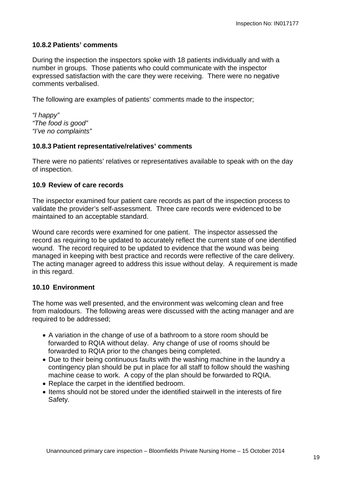#### **10.8.2 Patients' comments**

During the inspection the inspectors spoke with 18 patients individually and with a number in groups. Those patients who could communicate with the inspector expressed satisfaction with the care they were receiving. There were no negative comments verbalised.

The following are examples of patients' comments made to the inspector;

*"I happy" "The food is good" "I've no complaints"*

#### **10.8.3 Patient representative/relatives' comments**

There were no patients' relatives or representatives available to speak with on the day of inspection.

#### **10.9 Review of care records**

The inspector examined four patient care records as part of the inspection process to validate the provider's self-assessment. Three care records were evidenced to be maintained to an acceptable standard.

Wound care records were examined for one patient. The inspector assessed the record as requiring to be updated to accurately reflect the current state of one identified wound. The record required to be updated to evidence that the wound was being managed in keeping with best practice and records were reflective of the care delivery. The acting manager agreed to address this issue without delay. A requirement is made in this regard.

#### **10.10 Environment**

The home was well presented, and the environment was welcoming clean and free from malodours. The following areas were discussed with the acting manager and are required to be addressed;

- A variation in the change of use of a bathroom to a store room should be forwarded to RQIA without delay. Any change of use of rooms should be forwarded to RQIA prior to the changes being completed.
- Due to their being continuous faults with the washing machine in the laundry a contingency plan should be put in place for all staff to follow should the washing machine cease to work. A copy of the plan should be forwarded to RQIA.
- Replace the carpet in the identified bedroom.
- Items should not be stored under the identified stairwell in the interests of fire Safety.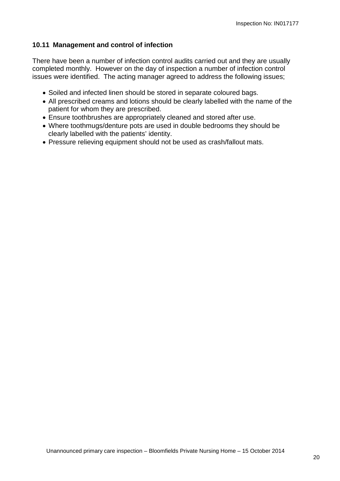#### **10.11 Management and control of infection**

There have been a number of infection control audits carried out and they are usually completed monthly. However on the day of inspection a number of infection control issues were identified. The acting manager agreed to address the following issues;

- Soiled and infected linen should be stored in separate coloured bags.
- All prescribed creams and lotions should be clearly labelled with the name of the patient for whom they are prescribed.
- Ensure toothbrushes are appropriately cleaned and stored after use.
- Where toothmugs/denture pots are used in double bedrooms they should be clearly labelled with the patients' identity.
- Pressure relieving equipment should not be used as crash/fallout mats.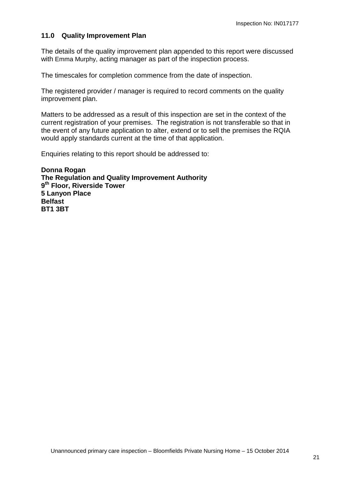#### **11.0 Quality Improvement Plan**

The details of the quality improvement plan appended to this report were discussed with Emma Murphy, acting manager as part of the inspection process.

The timescales for completion commence from the date of inspection.

The registered provider / manager is required to record comments on the quality improvement plan.

Matters to be addressed as a result of this inspection are set in the context of the current registration of your premises. The registration is not transferable so that in the event of any future application to alter, extend or to sell the premises the RQIA would apply standards current at the time of that application.

Enquiries relating to this report should be addressed to:

**Donna Rogan The Regulation and Quality Improvement Authority 9th Floor, Riverside Tower 5 Lanyon Place Belfast BT1 3BT**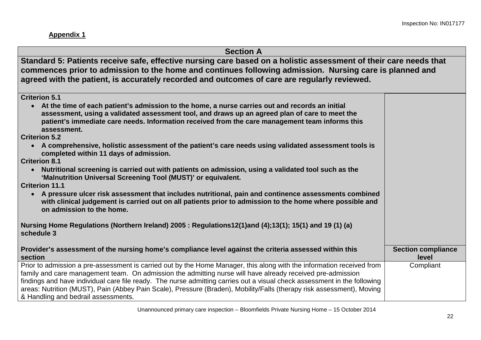**Appendix 1**

|  | <b>Section A</b> |  |
|--|------------------|--|
|--|------------------|--|

**Standard 5: Patients receive safe, effective nursing care based on a holistic assessment of their care needs that commences prior to admission to the home and continues following admission. Nursing care is planned and agreed with the patient, is accurately recorded and outcomes of care are regularly reviewed.** 

**Criterion 5.1**

• **At the time of each patient's admission to the home, a nurse carries out and records an initial assessment, using a validated assessment tool, and draws up an agreed plan of care to meet the patient's immediate care needs. Information received from the care management team informs this assessment.**

**Criterion 5.2**

• **A comprehensive, holistic assessment of the patient's care needs using validated assessment tools is completed within 11 days of admission.**

**Criterion 8.1**

• **Nutritional screening is carried out with patients on admission, using a validated tool such as the 'Malnutrition Universal Screening Tool (MUST)' or equivalent.**

**Criterion 11.1**

• **A pressure ulcer risk assessment that includes nutritional, pain and continence assessments combined with clinical judgement is carried out on all patients prior to admission to the home where possible and on admission to the home.** 

**Nursing Home Regulations (Northern Ireland) 2005 : Regulations12(1)and (4);13(1); 15(1) and 19 (1) (a) schedule 3**

| Provider's assessment of the nursing home's compliance level against the criteria assessed within this                                                                                                                                                                                                                                                                                                                                                                                                                          | <b>Section compliance</b> |
|---------------------------------------------------------------------------------------------------------------------------------------------------------------------------------------------------------------------------------------------------------------------------------------------------------------------------------------------------------------------------------------------------------------------------------------------------------------------------------------------------------------------------------|---------------------------|
| section                                                                                                                                                                                                                                                                                                                                                                                                                                                                                                                         | level                     |
| Prior to admission a pre-assessment is carried out by the Home Manager, this along with the information received from<br>family and care management team. On admission the admitting nurse will have already received pre-admission<br>findings and have individual care file ready. The nurse admitting carries out a visual check assessment in the following<br>areas: Nutrition (MUST), Pain (Abbey Pain Scale), Pressure (Braden), Mobility/Falls (therapy risk assessment), Moving<br>& Handling and bedrail assessments. | Compliant                 |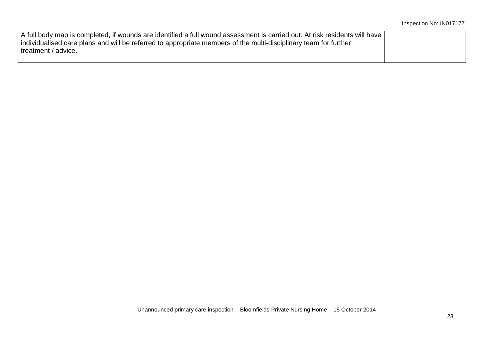| A full body map is completed, if wounds are identified a full wound assessment is carried out. At risk residents will have |  |
|----------------------------------------------------------------------------------------------------------------------------|--|
| individualised care plans and will be referred to appropriate members of the multi-disciplinary team for further           |  |
| treatment / advice.                                                                                                        |  |
|                                                                                                                            |  |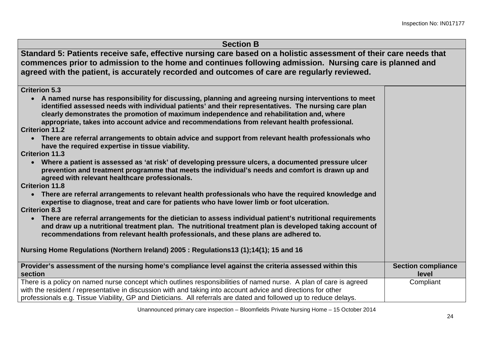| <b>Section B</b>                                                                                                                                                                                                                                                                                                                                                                                          |                                    |
|-----------------------------------------------------------------------------------------------------------------------------------------------------------------------------------------------------------------------------------------------------------------------------------------------------------------------------------------------------------------------------------------------------------|------------------------------------|
| Standard 5: Patients receive safe, effective nursing care based on a holistic assessment of their care needs that<br>commences prior to admission to the home and continues following admission. Nursing care is planned and<br>agreed with the patient, is accurately recorded and outcomes of care are regularly reviewed.                                                                              |                                    |
| <b>Criterion 5.3</b>                                                                                                                                                                                                                                                                                                                                                                                      |                                    |
| A named nurse has responsibility for discussing, planning and agreeing nursing interventions to meet<br>identified assessed needs with individual patients' and their representatives. The nursing care plan<br>clearly demonstrates the promotion of maximum independence and rehabilitation and, where<br>appropriate, takes into account advice and recommendations from relevant health professional. |                                    |
| <b>Criterion 11.2</b>                                                                                                                                                                                                                                                                                                                                                                                     |                                    |
| • There are referral arrangements to obtain advice and support from relevant health professionals who<br>have the required expertise in tissue viability.                                                                                                                                                                                                                                                 |                                    |
| <b>Criterion 11.3</b>                                                                                                                                                                                                                                                                                                                                                                                     |                                    |
| • Where a patient is assessed as 'at risk' of developing pressure ulcers, a documented pressure ulcer<br>prevention and treatment programme that meets the individual's needs and comfort is drawn up and<br>agreed with relevant healthcare professionals.                                                                                                                                               |                                    |
| <b>Criterion 11.8</b>                                                                                                                                                                                                                                                                                                                                                                                     |                                    |
| There are referral arrangements to relevant health professionals who have the required knowledge and<br>$\bullet$<br>expertise to diagnose, treat and care for patients who have lower limb or foot ulceration.                                                                                                                                                                                           |                                    |
| <b>Criterion 8.3</b>                                                                                                                                                                                                                                                                                                                                                                                      |                                    |
| • There are referral arrangements for the dietician to assess individual patient's nutritional requirements<br>and draw up a nutritional treatment plan. The nutritional treatment plan is developed taking account of<br>recommendations from relevant health professionals, and these plans are adhered to.                                                                                             |                                    |
| Nursing Home Regulations (Northern Ireland) 2005: Regulations13 (1);14(1); 15 and 16                                                                                                                                                                                                                                                                                                                      |                                    |
| Provider's assessment of the nursing home's compliance level against the criteria assessed within this<br>section                                                                                                                                                                                                                                                                                         | <b>Section compliance</b><br>level |
| There is a policy on named nurse concept which outlines responsibilities of named nurse. A plan of care is agreed<br>with the resident / representative in discussion with and taking into account advice and directions for other<br>professionals e.g. Tissue Viability, GP and Dieticians. All referrals are dated and followed up to reduce delays.                                                   | Compliant                          |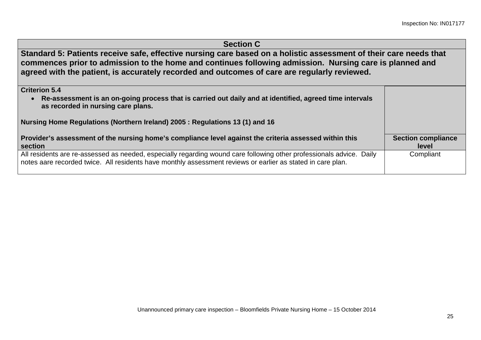| <b>Section C</b>                                                                                                                                                                                                                                                                                                             |                                    |
|------------------------------------------------------------------------------------------------------------------------------------------------------------------------------------------------------------------------------------------------------------------------------------------------------------------------------|------------------------------------|
| Standard 5: Patients receive safe, effective nursing care based on a holistic assessment of their care needs that<br>commences prior to admission to the home and continues following admission. Nursing care is planned and<br>agreed with the patient, is accurately recorded and outcomes of care are regularly reviewed. |                                    |
| <b>Criterion 5.4</b>                                                                                                                                                                                                                                                                                                         |                                    |
| Re-assessment is an on-going process that is carried out daily and at identified, agreed time intervals<br>$\bullet$<br>as recorded in nursing care plans.                                                                                                                                                                   |                                    |
| Nursing Home Regulations (Northern Ireland) 2005 : Regulations 13 (1) and 16                                                                                                                                                                                                                                                 |                                    |
| Provider's assessment of the nursing home's compliance level against the criteria assessed within this<br>section                                                                                                                                                                                                            | <b>Section compliance</b><br>level |
| All residents are re-assessed as needed, especially regarding wound care following other professionals advice. Daily<br>notes aare recorded twice. All residents have monthly assessment reviews or earlier as stated in care plan.                                                                                          | Compliant                          |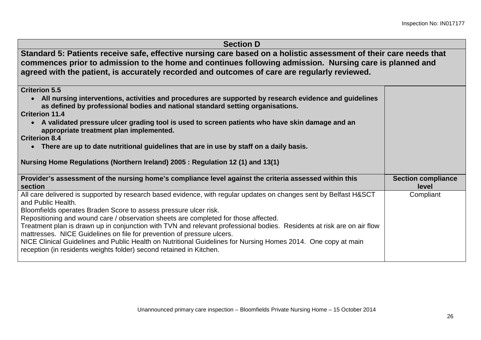| <b>Section D</b>                                                                                                                                                                                                                                                                                                             |                                    |
|------------------------------------------------------------------------------------------------------------------------------------------------------------------------------------------------------------------------------------------------------------------------------------------------------------------------------|------------------------------------|
| Standard 5: Patients receive safe, effective nursing care based on a holistic assessment of their care needs that<br>commences prior to admission to the home and continues following admission. Nursing care is planned and<br>agreed with the patient, is accurately recorded and outcomes of care are regularly reviewed. |                                    |
| <b>Criterion 5.5</b>                                                                                                                                                                                                                                                                                                         |                                    |
| • All nursing interventions, activities and procedures are supported by research evidence and guidelines<br>as defined by professional bodies and national standard setting organisations.                                                                                                                                   |                                    |
| <b>Criterion 11.4</b>                                                                                                                                                                                                                                                                                                        |                                    |
| • A validated pressure ulcer grading tool is used to screen patients who have skin damage and an<br>appropriate treatment plan implemented.                                                                                                                                                                                  |                                    |
| <b>Criterion 8.4</b>                                                                                                                                                                                                                                                                                                         |                                    |
|                                                                                                                                                                                                                                                                                                                              |                                    |
| There are up to date nutritional guidelines that are in use by staff on a daily basis.<br>$\bullet$                                                                                                                                                                                                                          |                                    |
| Nursing Home Regulations (Northern Ireland) 2005 : Regulation 12 (1) and 13(1)                                                                                                                                                                                                                                               |                                    |
| Provider's assessment of the nursing home's compliance level against the criteria assessed within this<br>section                                                                                                                                                                                                            | <b>Section compliance</b><br>level |
| All care delivered is supported by research based evidence, with regular updates on changes sent by Belfast H&SCT<br>and Public Health.                                                                                                                                                                                      | Compliant                          |
| Bloomfields operates Braden Score to assess pressure ulcer risk.                                                                                                                                                                                                                                                             |                                    |
| Repositioning and wound care / observation sheets are completed for those affected.                                                                                                                                                                                                                                          |                                    |
| Treatment plan is drawn up in conjunction with TVN and relevant professional bodies. Residents at risk are on air flow<br>mattresses. NICE Guidelines on file for prevention of pressure ulcers.                                                                                                                             |                                    |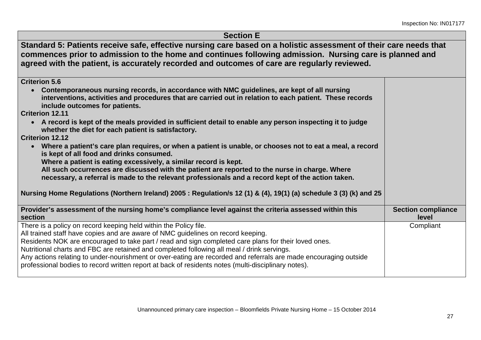## **Section E Standard 5: Patients receive safe, effective nursing care based on a holistic assessment of their care needs that commences prior to admission to the home and continues following admission. Nursing care is planned and agreed with the patient, is accurately recorded and outcomes of care are regularly reviewed. Criterion 5.6** • **Contemporaneous nursing records, in accordance with NMC guidelines, are kept of all nursing interventions, activities and procedures that are carried out in relation to each patient. These records include outcomes for patients. Criterion 12.11** • **A record is kept of the meals provided in sufficient detail to enable any person inspecting it to judge whether the diet for each patient is satisfactory. Criterion 12.12** • **Where a patient's care plan requires, or when a patient is unable, or chooses not to eat a meal, a record is kept of all food and drinks consumed. Where a patient is eating excessively, a similar record is kept. All such occurrences are discussed with the patient are reported to the nurse in charge. Where necessary, a referral is made to the relevant professionals and a record kept of the action taken. Nursing Home Regulations (Northern Ireland) 2005 : Regulation/s 12 (1) & (4), 19(1) (a) schedule 3 (3) (k) and 25 Provider's assessment of the nursing home's compliance level against the criteria assessed within this section Section compliance level** There is a policy on record keeping held within the Policy file. All trained staff have copies and are aware of NMC guidelines on record keeping. Residents NOK are encouraged to take part / read and sign completed care plans for their loved ones. Nutritional charts and FBC are retained and completed following all meal / drink servings. Any actions relating to under-nourishment or over-eating are recorded and referrals are made encouraging outside professional bodies to record written report at back of residents notes (multi-disciplinary notes). **Compliant**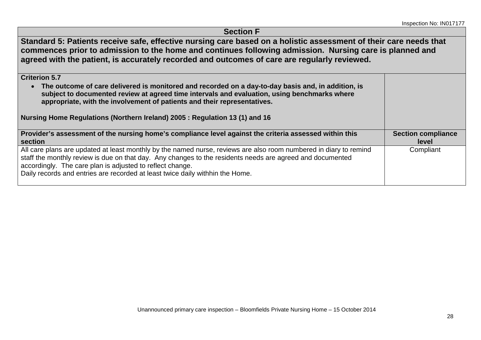| <b>Section F</b>                                                                                                                                                                                                                                                                                                                                                                        |                                    |
|-----------------------------------------------------------------------------------------------------------------------------------------------------------------------------------------------------------------------------------------------------------------------------------------------------------------------------------------------------------------------------------------|------------------------------------|
| Standard 5: Patients receive safe, effective nursing care based on a holistic assessment of their care needs that<br>commences prior to admission to the home and continues following admission. Nursing care is planned and<br>agreed with the patient, is accurately recorded and outcomes of care are regularly reviewed.                                                            |                                    |
| <b>Criterion 5.7</b><br>• The outcome of care delivered is monitored and recorded on a day-to-day basis and, in addition, is<br>subject to documented review at agreed time intervals and evaluation, using benchmarks where<br>appropriate, with the involvement of patients and their representatives.<br>Nursing Home Regulations (Northern Ireland) 2005 : Regulation 13 (1) and 16 |                                    |
| Provider's assessment of the nursing home's compliance level against the criteria assessed within this<br>section                                                                                                                                                                                                                                                                       | <b>Section compliance</b><br>level |
| All care plans are updated at least monthly by the named nurse, reviews are also room numbered in diary to remind<br>staff the monthly review is due on that day. Any changes to the residents needs are agreed and documented<br>accordingly. The care plan is adjusted to reflect change.<br>Daily records and entries are recorded at least twice daily withhin the Home.            | Compliant                          |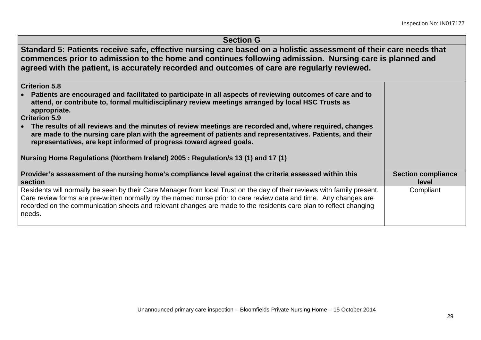| <b>Section G</b>                                                                                                                                                                                                                                                                                                                                                            |                                           |
|-----------------------------------------------------------------------------------------------------------------------------------------------------------------------------------------------------------------------------------------------------------------------------------------------------------------------------------------------------------------------------|-------------------------------------------|
| Standard 5: Patients receive safe, effective nursing care based on a holistic assessment of their care needs that<br>commences prior to admission to the home and continues following admission. Nursing care is planned and<br>agreed with the patient, is accurately recorded and outcomes of care are regularly reviewed.                                                |                                           |
| <b>Criterion 5.8</b>                                                                                                                                                                                                                                                                                                                                                        |                                           |
| Patients are encouraged and facilitated to participate in all aspects of reviewing outcomes of care and to<br>attend, or contribute to, formal multidisciplinary review meetings arranged by local HSC Trusts as<br>appropriate.                                                                                                                                            |                                           |
| <b>Criterion 5.9</b>                                                                                                                                                                                                                                                                                                                                                        |                                           |
| The results of all reviews and the minutes of review meetings are recorded and, where required, changes<br>are made to the nursing care plan with the agreement of patients and representatives. Patients, and their<br>representatives, are kept informed of progress toward agreed goals.                                                                                 |                                           |
| Nursing Home Regulations (Northern Ireland) 2005 : Regulation/s 13 (1) and 17 (1)                                                                                                                                                                                                                                                                                           |                                           |
| Provider's assessment of the nursing home's compliance level against the criteria assessed within this<br>section                                                                                                                                                                                                                                                           | <b>Section compliance</b><br><b>level</b> |
| Residents will normally be seen by their Care Manager from local Trust on the day of their reviews with family present.<br>Care review forms are pre-written normally by the named nurse prior to care review date and time. Any changes are<br>recorded on the communication sheets and relevant changes are made to the residents care plan to reflect changing<br>needs. | Compliant                                 |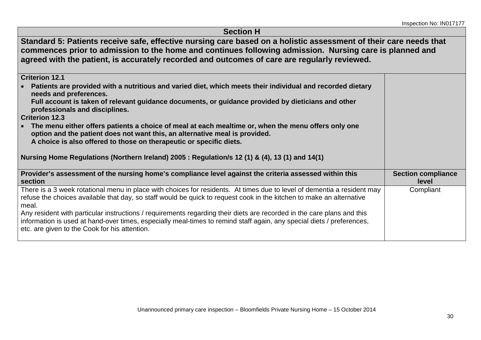| <b>Section H</b>                                                                                                                                                                                                                                                                                                             |                                    |
|------------------------------------------------------------------------------------------------------------------------------------------------------------------------------------------------------------------------------------------------------------------------------------------------------------------------------|------------------------------------|
| Standard 5: Patients receive safe, effective nursing care based on a holistic assessment of their care needs that<br>commences prior to admission to the home and continues following admission. Nursing care is planned and<br>agreed with the patient, is accurately recorded and outcomes of care are regularly reviewed. |                                    |
| <b>Criterion 12.1</b>                                                                                                                                                                                                                                                                                                        |                                    |
| Patients are provided with a nutritious and varied diet, which meets their individual and recorded dietary<br>needs and preferences.                                                                                                                                                                                         |                                    |
| Full account is taken of relevant guidance documents, or guidance provided by dieticians and other<br>professionals and disciplines.                                                                                                                                                                                         |                                    |
| <b>Criterion 12.3</b>                                                                                                                                                                                                                                                                                                        |                                    |
| The menu either offers patients a choice of meal at each mealtime or, when the menu offers only one<br>option and the patient does not want this, an alternative meal is provided.<br>A choice is also offered to those on therapeutic or specific diets.                                                                    |                                    |
| Nursing Home Regulations (Northern Ireland) 2005 : Regulation/s 12 (1) & (4), 13 (1) and 14(1)                                                                                                                                                                                                                               |                                    |
| Provider's assessment of the nursing home's compliance level against the criteria assessed within this<br>section                                                                                                                                                                                                            | <b>Section compliance</b><br>level |
| There is a 3 week rotational menu in place with choices for residents. At times due to level of dementia a resident may<br>refuse the choices available that day, so staff would be quick to request cook in the kitchen to make an alternative                                                                              | Compliant                          |
| meal.                                                                                                                                                                                                                                                                                                                        |                                    |
| Any resident with particular instructions / requirements regarding their diets are recorded in the care plans and this<br>information is used at hand-over times, especially meal-times to remind staff again, any special diets / preferences,<br>etc. are given to the Cook for his attention.                             |                                    |
|                                                                                                                                                                                                                                                                                                                              |                                    |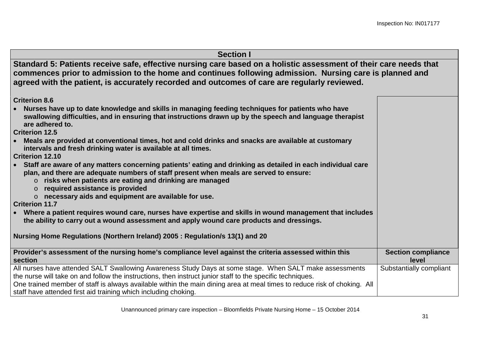| <b>Section I</b> |
|------------------|
|------------------|

**Standard 5: Patients receive safe, effective nursing care based on a holistic assessment of their care needs that commences prior to admission to the home and continues following admission. Nursing care is planned and agreed with the patient, is accurately recorded and outcomes of care are regularly reviewed.**

**Criterion 8.6**

• **Nurses have up to date knowledge and skills in managing feeding techniques for patients who have swallowing difficulties, and in ensuring that instructions drawn up by the speech and language therapist are adhered to.**

**Criterion 12.5**

• **Meals are provided at conventional times, hot and cold drinks and snacks are available at customary intervals and fresh drinking water is available at all times.**

**Criterion 12.10**

- **Staff are aware of any matters concerning patients' eating and drinking as detailed in each individual care plan, and there are adequate numbers of staff present when meals are served to ensure:**
	- o **risks when patients are eating and drinking are managed**
	- o **required assistance is provided**
	- o **necessary aids and equipment are available for use.**

**Criterion 11.7**

• **Where a patient requires wound care, nurses have expertise and skills in wound management that includes the ability to carry out a wound assessment and apply wound care products and dressings.**

**Nursing Home Regulations (Northern Ireland) 2005 : Regulation/s 13(1) and 20**

| Provider's assessment of the nursing home's compliance level against the criteria assessed within this<br>section        | <b>Section compliance</b><br>level |
|--------------------------------------------------------------------------------------------------------------------------|------------------------------------|
| All nurses have attended SALT Swallowing Awareness Study Days at some stage. When SALT make assessments                  | Substantially compliant            |
| the nurse will take on and follow the instructions, then instruct junior staff to the specific techniques.               |                                    |
| One trained member of staff is always available within the main dining area at meal times to reduce risk of choking. All |                                    |
| staff have attended first aid training which including choking.                                                          |                                    |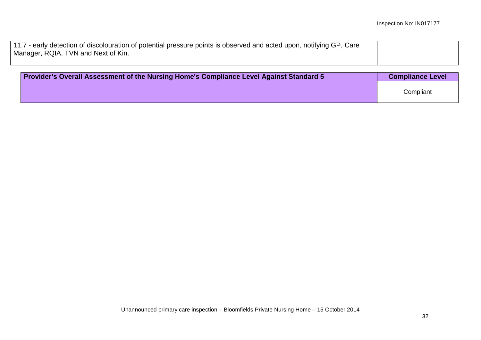| 11.7 - early detection of discolouration of potential pressure points is observed and acted upon, notifying GP, Care |  |
|----------------------------------------------------------------------------------------------------------------------|--|
| Manager, RQIA, TVN and Next of Kin.                                                                                  |  |
|                                                                                                                      |  |

| Provider's Overall Assessment of the Nursing Home's Compliance Level Against Standard 5 | <b>Compliance Level</b> |
|-----------------------------------------------------------------------------------------|-------------------------|
|                                                                                         | Compliant               |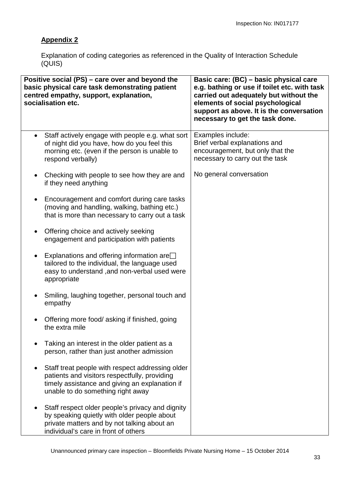## **Appendix 2**

Explanation of coding categories as referenced in the Quality of Interaction Schedule (QUIS)

| Positive social (PS) - care over and beyond the<br>basic physical care task demonstrating patient<br>centred empathy, support, explanation,<br>socialisation etc.                                     | Basic care: (BC) - basic physical care<br>e.g. bathing or use if toilet etc. with task<br>carried out adequately but without the<br>elements of social psychological<br>support as above. It is the conversation<br>necessary to get the task done. |  |
|-------------------------------------------------------------------------------------------------------------------------------------------------------------------------------------------------------|-----------------------------------------------------------------------------------------------------------------------------------------------------------------------------------------------------------------------------------------------------|--|
| Staff actively engage with people e.g. what sort<br>$\bullet$<br>of night did you have, how do you feel this<br>morning etc. (even if the person is unable to<br>respond verbally)                    | Examples include:<br>Brief verbal explanations and<br>encouragement, but only that the<br>necessary to carry out the task                                                                                                                           |  |
| Checking with people to see how they are and<br>if they need anything                                                                                                                                 | No general conversation                                                                                                                                                                                                                             |  |
| Encouragement and comfort during care tasks<br>$\bullet$<br>(moving and handling, walking, bathing etc.)<br>that is more than necessary to carry out a task                                           |                                                                                                                                                                                                                                                     |  |
| Offering choice and actively seeking<br>$\bullet$<br>engagement and participation with patients                                                                                                       |                                                                                                                                                                                                                                                     |  |
| Explanations and offering information are $\Box$<br>tailored to the individual, the language used<br>easy to understand, and non-verbal used were<br>appropriate                                      |                                                                                                                                                                                                                                                     |  |
| Smiling, laughing together, personal touch and<br>empathy                                                                                                                                             |                                                                                                                                                                                                                                                     |  |
| Offering more food/ asking if finished, going<br>the extra mile                                                                                                                                       |                                                                                                                                                                                                                                                     |  |
| Taking an interest in the older patient as a<br>person, rather than just another admission                                                                                                            |                                                                                                                                                                                                                                                     |  |
| Staff treat people with respect addressing older<br>$\bullet$<br>patients and visitors respectfully, providing<br>timely assistance and giving an explanation if<br>unable to do something right away |                                                                                                                                                                                                                                                     |  |
| Staff respect older people's privacy and dignity<br>$\bullet$<br>by speaking quietly with older people about<br>private matters and by not talking about an<br>individual's care in front of others   |                                                                                                                                                                                                                                                     |  |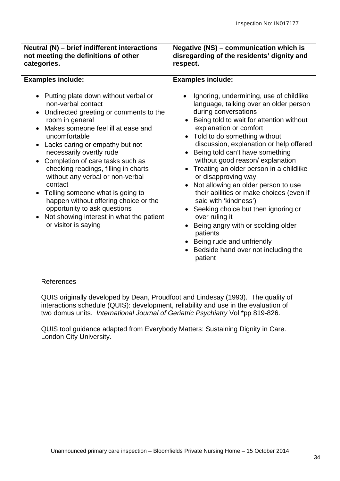| Neutral (N) - brief indifferent interactions<br>not meeting the definitions of other<br>categories.                                                                                                                                                                                                                                                                                                                                                                                 | <b>Negative (NS) - communication which is</b><br>disregarding of the residents' dignity and<br>respect.                                                                                                                                                                                                                                                                                                                                                                                                                                                     |  |  |
|-------------------------------------------------------------------------------------------------------------------------------------------------------------------------------------------------------------------------------------------------------------------------------------------------------------------------------------------------------------------------------------------------------------------------------------------------------------------------------------|-------------------------------------------------------------------------------------------------------------------------------------------------------------------------------------------------------------------------------------------------------------------------------------------------------------------------------------------------------------------------------------------------------------------------------------------------------------------------------------------------------------------------------------------------------------|--|--|
| <b>Examples include:</b><br>• Putting plate down without verbal or<br>non-verbal contact<br>Undirected greeting or comments to the<br>room in general<br>Makes someone feel ill at ease and<br>uncomfortable<br>Lacks caring or empathy but not<br>necessarily overtly rude<br>Completion of care tasks such as<br>checking readings, filling in charts<br>without any verbal or non-verbal<br>contact<br>Telling someone what is going to<br>happen without offering choice or the | <b>Examples include:</b><br>Ignoring, undermining, use of childlike<br>language, talking over an older person<br>during conversations<br>• Being told to wait for attention without<br>explanation or comfort<br>• Told to do something without<br>discussion, explanation or help offered<br>Being told can't have something<br>without good reason/explanation<br>Treating an older person in a childlike<br>or disapproving way<br>Not allowing an older person to use<br>$\bullet$<br>their abilities or make choices (even if<br>said with 'kindness') |  |  |
| opportunity to ask questions<br>Not showing interest in what the patient<br>or visitor is saying                                                                                                                                                                                                                                                                                                                                                                                    | Seeking choice but then ignoring or<br>over ruling it<br>Being angry with or scolding older<br>patients<br>• Being rude and unfriendly<br>Bedside hand over not including the<br>patient                                                                                                                                                                                                                                                                                                                                                                    |  |  |

#### References

QUIS originally developed by Dean, Proudfoot and Lindesay (1993). The quality of interactions schedule (QUIS): development, reliability and use in the evaluation of two domus units. *International Journal of Geriatric Psychiatry* Vol \*pp 819-826.

QUIS tool guidance adapted from Everybody Matters: Sustaining Dignity in Care. London City University.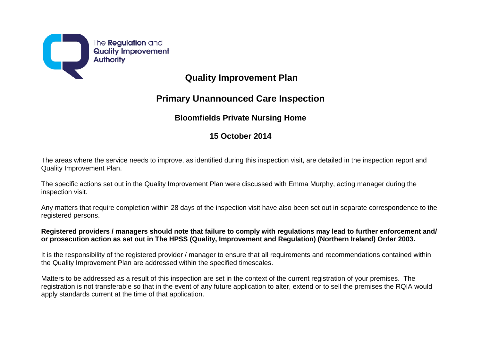

# **Quality Improvement Plan**

## **Primary Unannounced Care Inspection**

## **Bloomfields Private Nursing Home**

## **15 October 2014**

The areas where the service needs to improve, as identified during this inspection visit, are detailed in the inspection report and Quality Improvement Plan.

The specific actions set out in the Quality Improvement Plan were discussed with Emma Murphy, acting manager during the inspection visit.

Any matters that require completion within 28 days of the inspection visit have also been set out in separate correspondence to the registered persons.

#### **Registered providers / managers should note that failure to comply with regulations may lead to further enforcement and/ or prosecution action as set out in The HPSS (Quality, Improvement and Regulation) (Northern Ireland) Order 2003.**

It is the responsibility of the registered provider / manager to ensure that all requirements and recommendations contained within the Quality Improvement Plan are addressed within the specified timescales.

Matters to be addressed as a result of this inspection are set in the context of the current registration of your premises. The registration is not transferable so that in the event of any future application to alter, extend or to sell the premises the RQIA would apply standards current at the time of that application.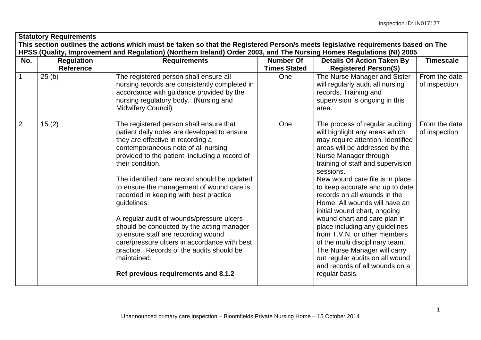| <b>Statutory Requirements</b> |                                                                                                                                                                                                                                                            |                                                                                                                                                                                                                                                                                                                                                                                                                                                                                                                                                                                                                                                                                    |                                         |                                                                                                                                                                                                                                                                                                                                                                                                                                                                                                                                                                                                                                                        |                                |  |
|-------------------------------|------------------------------------------------------------------------------------------------------------------------------------------------------------------------------------------------------------------------------------------------------------|------------------------------------------------------------------------------------------------------------------------------------------------------------------------------------------------------------------------------------------------------------------------------------------------------------------------------------------------------------------------------------------------------------------------------------------------------------------------------------------------------------------------------------------------------------------------------------------------------------------------------------------------------------------------------------|-----------------------------------------|--------------------------------------------------------------------------------------------------------------------------------------------------------------------------------------------------------------------------------------------------------------------------------------------------------------------------------------------------------------------------------------------------------------------------------------------------------------------------------------------------------------------------------------------------------------------------------------------------------------------------------------------------------|--------------------------------|--|
|                               | This section outlines the actions which must be taken so that the Registered Person/s meets legislative requirements based on The<br>HPSS (Quality, Improvement and Regulation) (Northern Ireland) Order 2003, and The Nursing Homes Regulations (NI) 2005 |                                                                                                                                                                                                                                                                                                                                                                                                                                                                                                                                                                                                                                                                                    |                                         |                                                                                                                                                                                                                                                                                                                                                                                                                                                                                                                                                                                                                                                        |                                |  |
| No.                           | <b>Regulation</b><br><b>Reference</b>                                                                                                                                                                                                                      | <b>Requirements</b>                                                                                                                                                                                                                                                                                                                                                                                                                                                                                                                                                                                                                                                                | <b>Number Of</b><br><b>Times Stated</b> | <b>Details Of Action Taken By</b><br><b>Registered Person(S)</b>                                                                                                                                                                                                                                                                                                                                                                                                                                                                                                                                                                                       | <b>Timescale</b>               |  |
| $\mathbf{1}$                  | 25(b)                                                                                                                                                                                                                                                      | The registered person shall ensure all<br>nursing records are consistently completed in<br>accordance with guidance provided by the<br>nursing regulatory body. (Nursing and<br>Midwifery Council)                                                                                                                                                                                                                                                                                                                                                                                                                                                                                 | One                                     | The Nurse Manager and Sister<br>will regularly audit all nursing<br>records. Training and<br>supervision is ongoing in this<br>area.                                                                                                                                                                                                                                                                                                                                                                                                                                                                                                                   | From the date<br>of inspection |  |
| $\overline{2}$                | 15(2)                                                                                                                                                                                                                                                      | The registered person shall ensure that<br>patient daily notes are developed to ensure<br>they are effective in recording a<br>contemporaneous note of all nursing<br>provided to the patient, including a record of<br>their condition.<br>The identified care record should be updated<br>to ensure the management of wound care is<br>recorded in keeping with best practice<br>guidelines.<br>A regular audit of wounds/pressure ulcers<br>should be conducted by the acting manager<br>to ensure staff are recording wound<br>care/pressure ulcers in accordance with best<br>practice. Records of the audits should be<br>maintained.<br>Ref previous requirements and 8.1.2 | One                                     | The process of regular auditing<br>will highlight any areas which<br>may require attention. Identified<br>areas will be addressed by the<br>Nurse Manager through<br>training of staff and supervision<br>sessions.<br>New wound care file is in place<br>to keep accurate and up to date<br>records on all wounds in the<br>Home. All wounds will have an<br>initial wound chart, ongoing<br>wound chart and care plan in<br>place including any guidelines<br>from T.V.N. or other members<br>of the multi disciplinary team.<br>The Nurse Manager will carry<br>out regular audits on all wound<br>and records of all wounds on a<br>regular basis. | From the date<br>of inspection |  |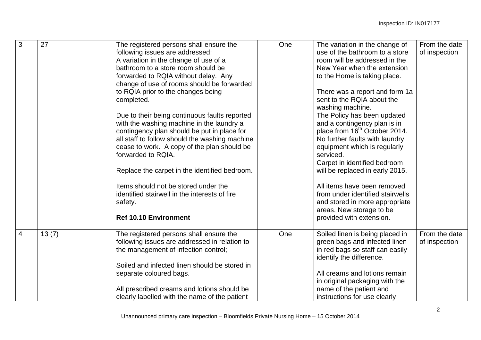| 3              | 27    | The registered persons shall ensure the<br>following issues are addressed;<br>A variation in the change of use of a<br>bathroom to a store room should be<br>forwarded to RQIA without delay. Any<br>change of use of rooms should be forwarded                                                                                                                                                                       | One | The variation in the change of<br>use of the bathroom to a store<br>room will be addressed in the<br>New Year when the extension<br>to the Home is taking place.                                                                                                                                                                                                                            | From the date<br>of inspection |
|----------------|-------|-----------------------------------------------------------------------------------------------------------------------------------------------------------------------------------------------------------------------------------------------------------------------------------------------------------------------------------------------------------------------------------------------------------------------|-----|---------------------------------------------------------------------------------------------------------------------------------------------------------------------------------------------------------------------------------------------------------------------------------------------------------------------------------------------------------------------------------------------|--------------------------------|
|                |       | to RQIA prior to the changes being<br>completed.                                                                                                                                                                                                                                                                                                                                                                      |     | There was a report and form 1a<br>sent to the RQIA about the<br>washing machine.                                                                                                                                                                                                                                                                                                            |                                |
|                |       | Due to their being continuous faults reported<br>with the washing machine in the laundry a<br>contingency plan should be put in place for<br>all staff to follow should the washing machine<br>cease to work. A copy of the plan should be<br>forwarded to RQIA.<br>Replace the carpet in the identified bedroom.<br>Items should not be stored under the<br>identified stairwell in the interests of fire<br>safety. |     | The Policy has been updated<br>and a contingency plan is in<br>place from 16 <sup>th</sup> October 2014.<br>No further faults with laundry<br>equipment which is regularly<br>serviced.<br>Carpet in identified bedroom<br>will be replaced in early 2015.<br>All items have been removed<br>from under identified stairwells<br>and stored in more appropriate<br>areas. New storage to be |                                |
|                |       | <b>Ref 10.10 Environment</b>                                                                                                                                                                                                                                                                                                                                                                                          |     | provided with extension.                                                                                                                                                                                                                                                                                                                                                                    |                                |
| $\overline{4}$ | 13(7) | The registered persons shall ensure the<br>following issues are addressed in relation to<br>the management of infection control;                                                                                                                                                                                                                                                                                      | One | Soiled linen is being placed in<br>green bags and infected linen<br>in red bags so staff can easily<br>identify the difference.                                                                                                                                                                                                                                                             | From the date<br>of inspection |
|                |       | Soiled and infected linen should be stored in<br>separate coloured bags.                                                                                                                                                                                                                                                                                                                                              |     | All creams and lotions remain<br>in original packaging with the                                                                                                                                                                                                                                                                                                                             |                                |
|                |       | All prescribed creams and lotions should be<br>clearly labelled with the name of the patient                                                                                                                                                                                                                                                                                                                          |     | name of the patient and<br>instructions for use clearly                                                                                                                                                                                                                                                                                                                                     |                                |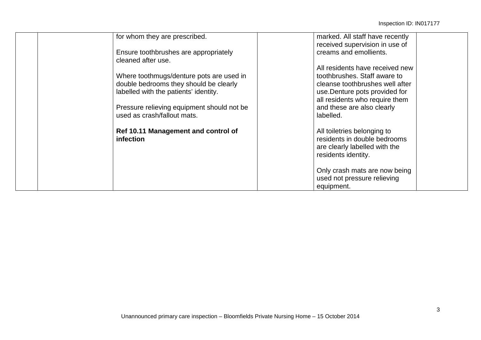| for whom they are prescribed.                           | marked. All staff have recently<br>received supervision in use of                                                   |
|---------------------------------------------------------|---------------------------------------------------------------------------------------------------------------------|
| Ensure toothbrushes are appropriately                   | creams and emollients.                                                                                              |
| cleaned after use.                                      |                                                                                                                     |
|                                                         | All residents have received new                                                                                     |
| Where toothmugs/denture pots are used in                | toothbrushes. Staff aware to                                                                                        |
| double bedrooms they should be clearly                  | cleanse toothbrushes well after                                                                                     |
| labelled with the patients' identity.                   | use. Denture pots provided for                                                                                      |
|                                                         | all residents who require them                                                                                      |
| Pressure relieving equipment should not be              | and these are also clearly                                                                                          |
| used as crash/fallout mats.                             | labelled.                                                                                                           |
| Ref 10.11 Management and control of<br><b>infection</b> | All toiletries belonging to<br>residents in double bedrooms<br>are clearly labelled with the<br>residents identity. |
|                                                         | Only crash mats are now being                                                                                       |
|                                                         | used not pressure relieving                                                                                         |
|                                                         | equipment.                                                                                                          |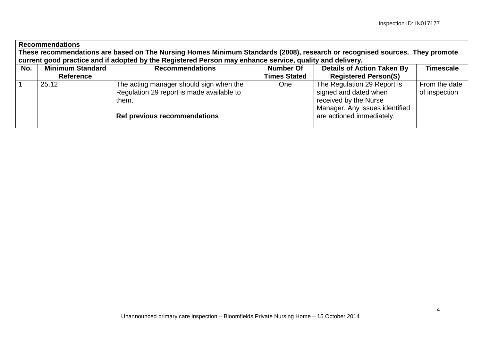| <b>Recommendations</b><br>These recommendations are based on The Nursing Homes Minimum Standards (2008), research or recognised sources. They promote |                                                                                                                                                               |                                                                                                                                      |                                  |                                                                                                                                              |                                |  |
|-------------------------------------------------------------------------------------------------------------------------------------------------------|---------------------------------------------------------------------------------------------------------------------------------------------------------------|--------------------------------------------------------------------------------------------------------------------------------------|----------------------------------|----------------------------------------------------------------------------------------------------------------------------------------------|--------------------------------|--|
| No.                                                                                                                                                   | current good practice and if adopted by the Registered Person may enhance service, quality and delivery.<br><b>Minimum Standard</b><br><b>Recommendations</b> |                                                                                                                                      |                                  |                                                                                                                                              |                                |  |
|                                                                                                                                                       | Reference                                                                                                                                                     |                                                                                                                                      | Number Of<br><b>Times Stated</b> | <b>Details of Action Taken By</b><br><b>Registered Person(S)</b>                                                                             | <b>Timescale</b>               |  |
|                                                                                                                                                       | 25.12                                                                                                                                                         | The acting manager should sign when the<br>Regulation 29 report is made available to<br>them.<br><b>Ref previous recommendations</b> | One                              | The Regulation 29 Report is<br>signed and dated when<br>received by the Nurse<br>Manager. Any issues identified<br>are actioned immediately. | From the date<br>of inspection |  |